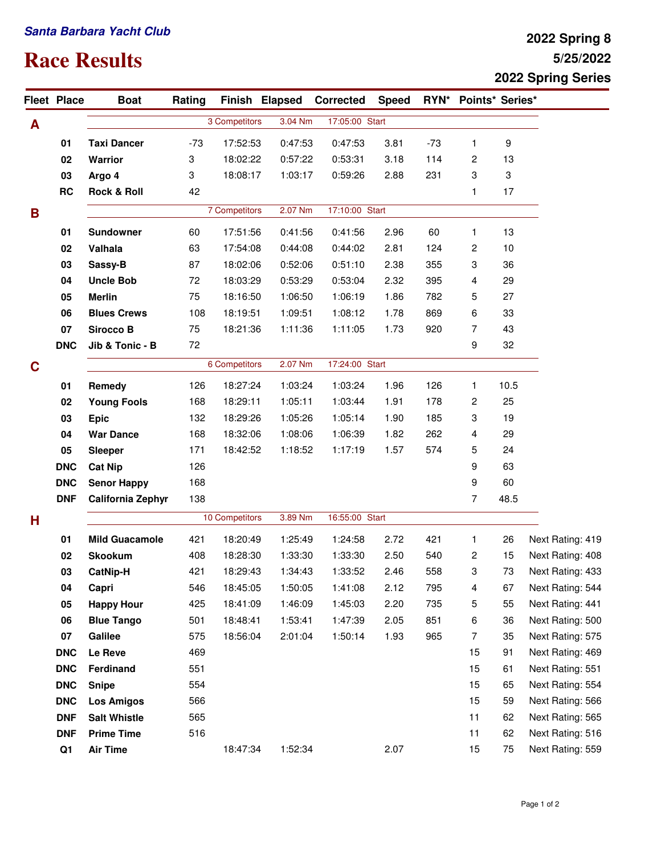## **Santa Barbara Yacht Club**

## **Race Results**

## **5/25/2022 2022 Spring 8 2022 Spring Series**

|   | Fleet Place | <b>Boat</b>              | Rating         |               | Finish Elapsed | <b>Corrected</b>          | <b>Speed</b>   |       | RYN* Points* Series* |      |                  |
|---|-------------|--------------------------|----------------|---------------|----------------|---------------------------|----------------|-------|----------------------|------|------------------|
| A |             |                          |                | 3 Competitors | 3.04 Nm        | 17:05:00 Start            |                |       |                      |      |                  |
|   | 01          | <b>Taxi Dancer</b>       | $-73$          | 17:52:53      | 0:47:53        | 0:47:53                   | 3.81           | $-73$ | 1                    | 9    |                  |
|   | 02          | <b>Warrior</b>           | 3              | 18:02:22      | 0:57:22        | 0:53:31                   | 3.18           | 114   | 2                    | 13   |                  |
|   | 03          | Argo 4                   | 3              | 18:08:17      | 1:03:17        | 0:59:26                   | 2.88           | 231   | 3                    | 3    |                  |
|   | RC          | <b>Rock &amp; Roll</b>   | 42             |               |                |                           |                |       | 1                    | 17   |                  |
| B |             |                          |                | 7 Competitors | 2.07 Nm        | 17:10:00 Start            |                |       |                      |      |                  |
|   | 01          | <b>Sundowner</b>         | 60             | 17:51:56      | 0:41:56        | 0:41:56                   | 2.96           | 60    | 1                    | 13   |                  |
|   | 02          | Valhala                  | 63             | 17:54:08      | 0:44:08        | 0:44:02                   | 2.81           | 124   | 2                    | 10   |                  |
|   | 03          | Sassy-B                  | 87             | 18:02:06      | 0:52:06        | 0:51:10                   | 2.38           | 355   | 3                    | 36   |                  |
|   | 04          | <b>Uncle Bob</b>         | 72             | 18:03:29      | 0:53:29        | 0:53:04                   | 2.32           | 395   | 4                    | 29   |                  |
|   | 05          | <b>Merlin</b>            | 75             | 18:16:50      | 1:06:50        | 1:06:19                   | 1.86           | 782   | 5                    | 27   |                  |
|   | 06          | <b>Blues Crews</b>       | 108            | 18:19:51      | 1:09:51        | 1:08:12                   | 1.78           | 869   | 6                    | 33   |                  |
|   | 07          | <b>Sirocco B</b>         | 75             | 18:21:36      | 1:11:36        | 1:11:05                   | 1.73           | 920   | 7                    | 43   |                  |
|   | <b>DNC</b>  | Jib & Tonic - B          | 72             |               |                |                           |                |       | 9                    | 32   |                  |
| C |             |                          |                | 6 Competitors |                | 2.07 Nm<br>17:24:00 Start |                |       |                      |      |                  |
|   | 01          | Remedy                   | 126            | 18:27:24      | 1:03:24        | 1:03:24                   | 1.96           | 126   | 1                    | 10.5 |                  |
|   | 02          | <b>Young Fools</b>       | 168            | 18:29:11      | 1:05:11        | 1:03:44                   | 1.91           | 178   | 2                    | 25   |                  |
|   | 03          | <b>Epic</b>              | 132            | 18:29:26      | 1:05:26        | 1:05:14                   | 1.90           | 185   | 3                    | 19   |                  |
|   | 04          | <b>War Dance</b>         | 168            | 18:32:06      | 1:08:06        | 1:06:39                   | 1.82           | 262   | 4                    | 29   |                  |
|   | 05          | <b>Sleeper</b>           | 171            | 18:42:52      | 1:18:52        | 1:17:19                   | 1.57           | 574   | 5                    | 24   |                  |
|   | <b>DNC</b>  | <b>Cat Nip</b>           | 126            |               |                |                           |                |       | 9                    | 63   |                  |
|   | <b>DNC</b>  | <b>Senor Happy</b>       | 168            |               |                |                           |                |       | 9                    | 60   |                  |
|   | <b>DNF</b>  | <b>California Zephyr</b> | 138            |               |                |                           |                |       | 7                    | 48.5 |                  |
| н |             |                          | 10 Competitors |               | 3.89 Nm        |                           | 16:55:00 Start |       |                      |      |                  |
|   | 01          | <b>Mild Guacamole</b>    | 421            | 18:20:49      | 1:25:49        | 1:24:58                   | 2.72           | 421   | 1                    | 26   | Next Rating: 419 |
|   | 02          | <b>Skookum</b>           | 408            | 18:28:30      | 1:33:30        | 1:33:30                   | 2.50           | 540   | 2                    | 15   | Next Rating: 408 |
|   | 03          | <b>CatNip-H</b>          | 421            | 18:29:43      | 1:34:43        | 1:33:52                   | 2.46           | 558   | 3                    | 73   | Next Rating: 433 |
|   | 04          | Capri                    | 546            | 18:45:05      | 1:50:05        | 1:41:08                   | 2.12           | 795   | 4                    | 67   | Next Rating: 544 |
|   | 05          | <b>Happy Hour</b>        | 425            | 18:41:09      | 1:46:09        | 1:45:03                   | 2.20           | 735   | 5                    | 55   | Next Rating: 441 |
|   | 06          | <b>Blue Tango</b>        | 501            | 18:48:41      | 1:53:41        | 1:47:39                   | 2.05           | 851   | 6                    | 36   | Next Rating: 500 |
|   | 07          | Galilee                  | 575            | 18:56:04      | 2:01:04        | 1:50:14                   | 1.93           | 965   | $\overline{7}$       | 35   | Next Rating: 575 |
|   | <b>DNC</b>  | Le Reve                  | 469            |               |                |                           |                |       | 15                   | 91   | Next Rating: 469 |
|   | <b>DNC</b>  | Ferdinand                | 551            |               |                |                           |                |       | 15                   | 61   | Next Rating: 551 |
|   | <b>DNC</b>  | <b>Snipe</b>             | 554            |               |                |                           |                |       | 15                   | 65   | Next Rating: 554 |
|   | <b>DNC</b>  | <b>Los Amigos</b>        | 566            |               |                |                           |                |       | 15                   | 59   | Next Rating: 566 |
|   | <b>DNF</b>  | <b>Salt Whistle</b>      | 565            |               |                |                           |                |       | 11                   | 62   | Next Rating: 565 |
|   | <b>DNF</b>  | <b>Prime Time</b>        | 516            |               |                |                           |                |       | 11                   | 62   | Next Rating: 516 |
|   | Q1          | <b>Air Time</b>          |                | 18:47:34      | 1:52:34        |                           | 2.07           |       | 15                   | 75   | Next Rating: 559 |